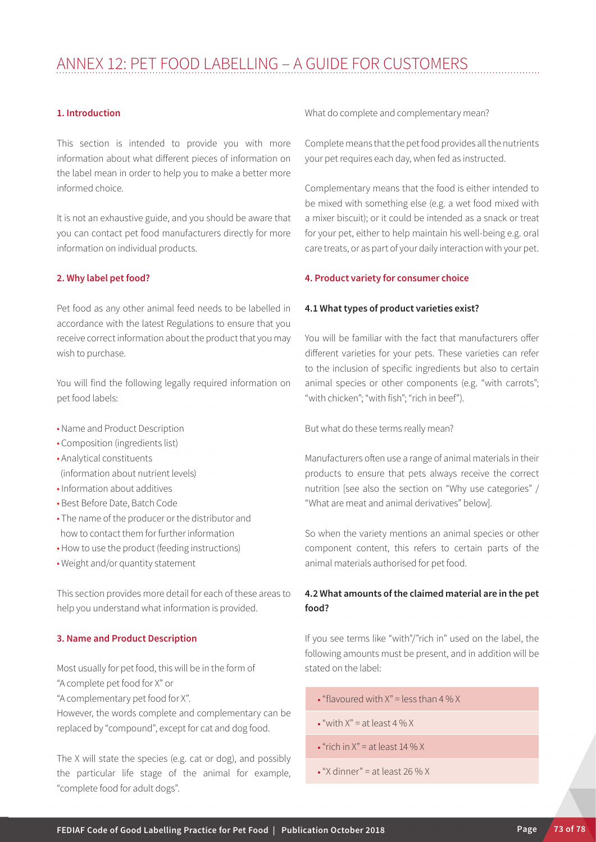# Annex 12: Pet food labelling – A Guide for Customers

## **1. Introduction**

This section is intended to provide you with more information about what different pieces of information on the label mean in order to help you to make a better more informed choice.

It is not an exhaustive guide, and you should be aware that you can contact pet food manufacturers directly for more information on individual products.

#### **2. Why label pet food?**

Pet food as any other animal feed needs to be labelled in accordance with the latest Regulations to ensure that you receive correct information about the product that you may wish to purchase.

You will find the following legally required information on pet food labels:

- Name and Product Description
- Composition (ingredients list)
- Analytical constituents (information about nutrient levels)
- Information about additives
- Best Before Date, Batch Code
- The name of the producer or the distributor and how to contact them for further information
- How to use the product (feeding instructions)
- Weight and/or quantity statement

This section provides more detail for each of these areas to help you understand what information is provided.

# **3. Name and Product Description**

Most usually for pet food, this will be in the form of "A complete pet food for X" or

"A complementary pet food for X".

However, the words complete and complementary can be replaced by "compound", except for cat and dog food.

The X will state the species (e.g. cat or dog), and possibly the particular life stage of the animal for example, "complete food for adult dogs".

What do complete and complementary mean?

Complete means that the pet food provides all the nutrients your pet requires each day, when fed as instructed.

Complementary means that the food is either intended to be mixed with something else (e.g. a wet food mixed with a mixer biscuit); or it could be intended as a snack or treat for your pet, either to help maintain his well-being e.g. oral care treats, or as part of your daily interaction with your pet.

## **4. Product variety for consumer choice**

#### **4.1 What types of product varieties exist?**

You will be familiar with the fact that manufacturers offer different varieties for your pets. These varieties can refer to the inclusion of specific ingredients but also to certain animal species or other components (e.g. "with carrots"; "with chicken"; "with fish"; "rich in beef").

But what do these terms really mean?

Manufacturers often use a range of animal materials in their products to ensure that pets always receive the correct nutrition [see also the section on "Why use categories" / "What are meat and animal derivatives" below].

So when the variety mentions an animal species or other component content, this refers to certain parts of the animal materials authorised for pet food.

# **4.2 What amounts of the claimed material are in the pet food?**

If you see terms like "with"/"rich in" used on the label, the following amounts must be present, and in addition will be stated on the label:

- $\cdot$  "flavoured with  $X$ " = less than 4 % X
- $\bullet$  "with  $X$ " = at least 4 % X
- $\cdot$  "rich in  $X$ " = at least 14 %  $X$
- $\cdot$  "X dinner" = at least 26 % X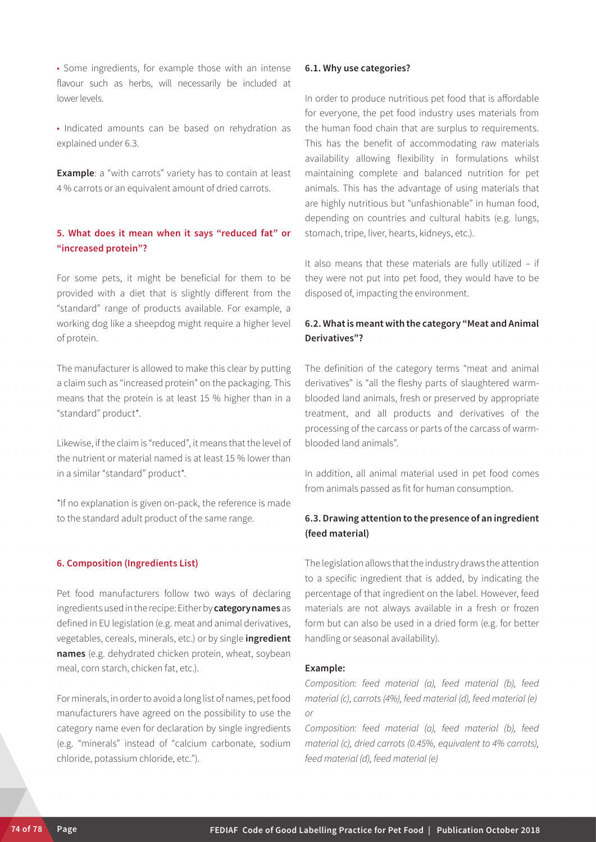• Some ingredients, for example those with an intense flavour such as herbs, will necessarily be included at lower levels.

• Indicated amounts can be based on rehydration as explained under 6.3.

**Example:** a "with carrots" variety has to contain at least 4 % carrots or an equivalent amount of dried carrots.

# **5. What does it mean when it says "reduced fat" or "increased protein"?**

For some pets, it might be beneficial for them to be provided with a diet that is slightly different from the "standard" range of products available. For example, a working dog like a sheepdog might require a higher level of protein.

The manufacturer is allowed to make this clear by putting a claim such as "increased protein" on the packaging. This means that the protein is at least 15 % higher than in a "standard" product\*.

Likewise, if the claim is "reduced", it means that the level of the nutrient or material named is at least 15 % lower than in a similar "standard" product\*.

\*If no explanation is given on-pack, the reference is made to the standard adult product of the same range.

## **6. Composition (Ingredients List)**

Pet food manufacturers follow two ways of declaring ingredients used in the recipe: Either by **category names** as defined in EU legislation (e.g. meat and animal derivatives, vegetables, cereals, minerals, etc.) or by single **ingredient names** (e.g. dehydrated chicken protein, wheat, soybean meal, corn starch, chicken fat, etc.).

For minerals, in order to avoid a long list of names, pet food manufacturers have agreed on the possibility to use the category name even for declaration by single ingredients (e.g. "minerals" instead of "calcium carbonate, sodium chloride, potassium chloride, etc.").

#### **6.1. Why use categories?**

In order to produce nutritious pet food that is affordable for everyone, the pet food industry uses materials from the human food chain that are surplus to requirements. This has the benefit of accommodating raw materials availability allowing flexibility in formulations whilst maintaining complete and balanced nutrition for pet animals. This has the advantage of using materials that are highly nutritious but "unfashionable" in human food, depending on countries and cultural habits (e.g. lungs, stomach, tripe, liver, hearts, kidneys, etc.).

It also means that these materials are fully utilized – if they were not put into pet food, they would have to be disposed of, impacting the environment.

# **6.2. What is meant with the category "Meat and Animal Derivatives"?**

The definition of the category terms "meat and animal derivatives" is "all the fleshy parts of slaughtered warmblooded land animals, fresh or preserved by appropriate treatment, and all products and derivatives of the processing of the carcass or parts of the carcass of warmblooded land animals".

In addition, all animal material used in pet food comes from animals passed as fit for human consumption.

# **6.3. Drawing attention to the presence of an ingredient (feed material)**

The legislation allows that the industry draws the attention to a specific ingredient that is added, by indicating the percentage of that ingredient on the label. However, feed materials are not always available in a fresh or frozen form but can also be used in a dried form (e.g. for better handling or seasonal availability).

#### **Example:**

*Composition: feed material (a), feed material (b), feed material (c), carrots (4%), feed material (d), feed material (e) or*

*Composition: feed material (a), feed material (b), feed material (c), dried carrots (0.45%, equivalent to 4% carrots), feed material (d), feed material (e)*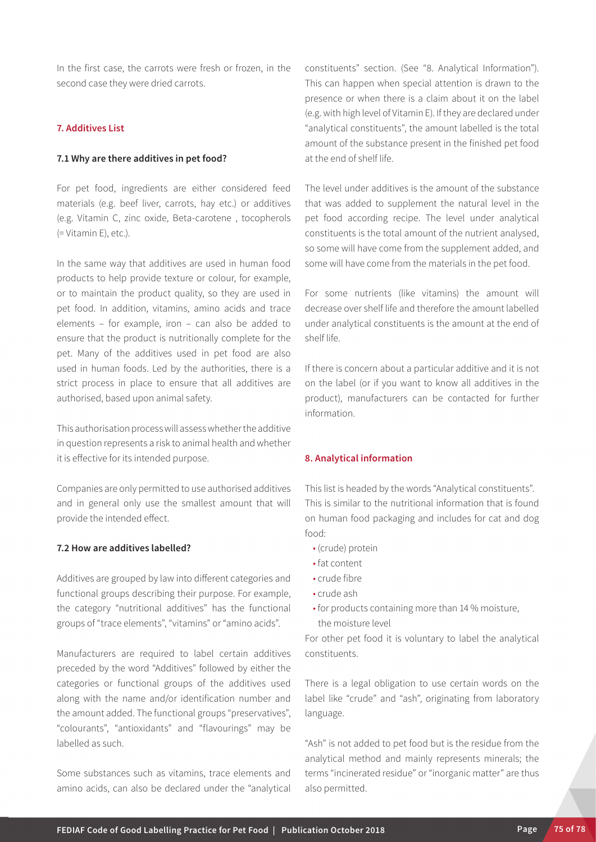In the first case, the carrots were fresh or frozen, in the second case they were dried carrots.

# **7. Additives List**

## **7.1 Why are there additives in pet food?**

For pet food, ingredients are either considered feed materials (e.g. beef liver, carrots, hay etc.) or additives (e.g. Vitamin C, zinc oxide, Beta-carotene , tocopherols (= Vitamin E), etc.).

In the same way that additives are used in human food products to help provide texture or colour, for example, or to maintain the product quality, so they are used in pet food. In addition, vitamins, amino acids and trace elements – for example, iron – can also be added to ensure that the product is nutritionally complete for the pet. Many of the additives used in pet food are also used in human foods. Led by the authorities, there is a strict process in place to ensure that all additives are authorised, based upon animal safety.

This authorisation process will assess whether the additive in question represents a risk to animal health and whether it is effective for its intended purpose.

Companies are only permitted to use authorised additives and in general only use the smallest amount that will provide the intended effect.

#### **7.2 How are additives labelled?**

Additives are grouped by law into different categories and functional groups describing their purpose. For example, the category "nutritional additives" has the functional groups of "trace elements", "vitamins" or "amino acids".

Manufacturers are required to label certain additives preceded by the word "Additives" followed by either the categories or functional groups of the additives used along with the name and/or identification number and the amount added. The functional groups "preservatives", "colourants", "antioxidants" and "flavourings" may be labelled as such.

Some substances such as vitamins, trace elements and amino acids, can also be declared under the "analytical constituents" section. (See "8. Analytical Information"). This can happen when special attention is drawn to the presence or when there is a claim about it on the label (e.g. with high level of Vitamin E). If they are declared under "analytical constituents", the amount labelled is the total amount of the substance present in the finished pet food at the end of shelf life.

The level under additives is the amount of the substance that was added to supplement the natural level in the pet food according recipe. The level under analytical constituents is the total amount of the nutrient analysed, so some will have come from the supplement added, and some will have come from the materials in the pet food.

For some nutrients (like vitamins) the amount will decrease over shelf life and therefore the amount labelled under analytical constituents is the amount at the end of shelf life.

If there is concern about a particular additive and it is not on the label (or if you want to know all additives in the product), manufacturers can be contacted for further information.

#### **8. Analytical information**

This list is headed by the words "Analytical constituents". This is similar to the nutritional information that is found on human food packaging and includes for cat and dog food:

- (crude) protein
- fat content
- crude fibre
- crude ash
- for products containing more than 14 % moisture, the moisture level

For other pet food it is voluntary to label the analytical constituents.

There is a legal obligation to use certain words on the label like "crude" and "ash", originating from laboratory language.

"Ash" is not added to pet food but is the residue from the analytical method and mainly represents minerals; the terms "incinerated residue" or "inorganic matter" are thus also permitted.